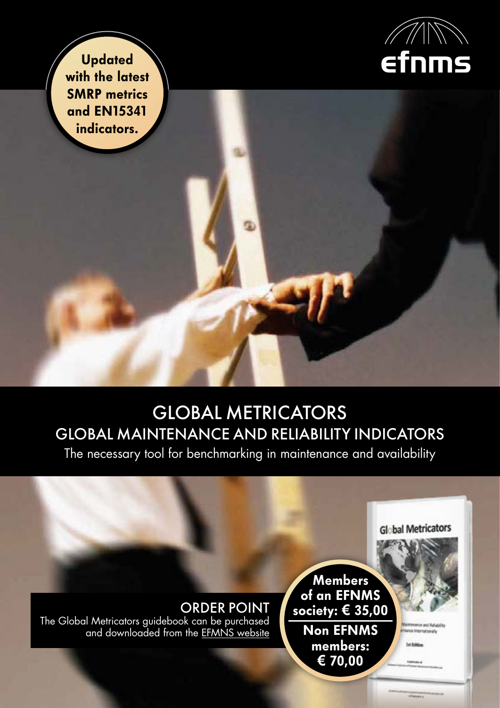

**Updated** with the latest SMRP metrics and EN15341 indicators.

# GLOBAL METRICATORS GLOBAL MAINTENANCE AND RELIABILITY INDICATORS

The necessary tool for benchmarking in maintenance and availability

## ORDER POINT

The Global Metricators guidebook can be purchased and downloaded from the [EFMNS website](http://www.efnms.eu/committees/european-maintenance-assessment-committee-emac/publications/)

**Members** of an EFNMS society: **€** 35,00 Non EFNMS members: **€** 70,00

Incia Enternationals

**Set Ballion** 

**Global Metricators**